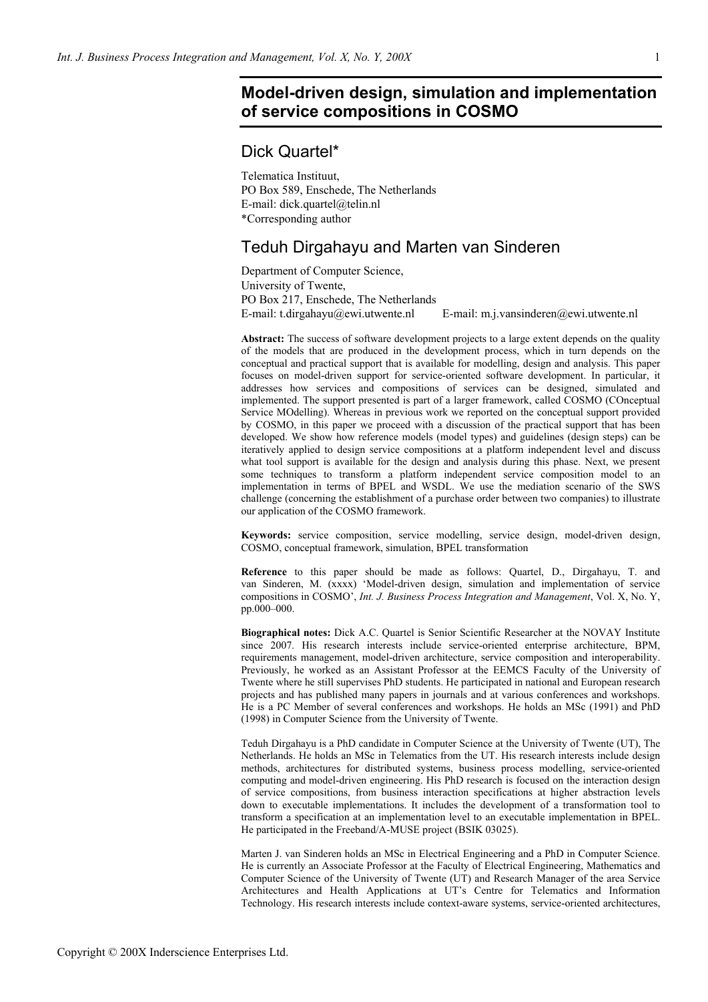# **Model-driven design, simulation and implementation of service compositions in COSMO**

# Dick Quartel\*

Telematica Instituut, PO Box 589, Enschede, The Netherlands E-mail: dick.quartel@telin.nl \*Corresponding author

# Teduh Dirgahayu and Marten van Sinderen

Department of Computer Science, University of Twente, PO Box 217, Enschede, The Netherlands E-mail: t.dirgahayu@ewi.utwente.nl E-mail: m.j.vansinderen@ewi.utwente.nl

**Abstract:** The success of software development projects to a large extent depends on the quality of the models that are produced in the development process, which in turn depends on the conceptual and practical support that is available for modelling, design and analysis. This paper focuses on model-driven support for service-oriented software development. In particular, it addresses how services and compositions of services can be designed, simulated and implemented. The support presented is part of a larger framework, called COSMO (COnceptual Service MOdelling). Whereas in previous work we reported on the conceptual support provided by COSMO, in this paper we proceed with a discussion of the practical support that has been developed. We show how reference models (model types) and guidelines (design steps) can be iteratively applied to design service compositions at a platform independent level and discuss what tool support is available for the design and analysis during this phase. Next, we present some techniques to transform a platform independent service composition model to an implementation in terms of BPEL and WSDL. We use the mediation scenario of the SWS challenge (concerning the establishment of a purchase order between two companies) to illustrate our application of the COSMO framework.

**Keywords:** service composition, service modelling, service design, model-driven design, COSMO, conceptual framework, simulation, BPEL transformation

**Reference** to this paper should be made as follows: Quartel, D., Dirgahayu, T. and van Sinderen, M. (xxxx) 'Model-driven design, simulation and implementation of service compositions in COSMO', *Int. J. Business Process Integration and Management*, Vol. X, No. Y, pp.000–000.

**Biographical notes:** Dick A.C. Quartel is Senior Scientific Researcher at the NOVAY Institute since 2007. His research interests include service-oriented enterprise architecture, BPM, requirements management, model-driven architecture, service composition and interoperability. Previously, he worked as an Assistant Professor at the EEMCS Faculty of the University of Twente where he still supervises PhD students. He participated in national and European research projects and has published many papers in journals and at various conferences and workshops. He is a PC Member of several conferences and workshops. He holds an MSc (1991) and PhD (1998) in Computer Science from the University of Twente.

Teduh Dirgahayu is a PhD candidate in Computer Science at the University of Twente (UT), The Netherlands. He holds an MSc in Telematics from the UT. His research interests include design methods, architectures for distributed systems, business process modelling, service-oriented computing and model-driven engineering. His PhD research is focused on the interaction design of service compositions, from business interaction specifications at higher abstraction levels down to executable implementations. It includes the development of a transformation tool to transform a specification at an implementation level to an executable implementation in BPEL. He participated in the Freeband/A-MUSE project (BSIK 03025).

Marten J. van Sinderen holds an MSc in Electrical Engineering and a PhD in Computer Science. He is currently an Associate Professor at the Faculty of Electrical Engineering, Mathematics and Computer Science of the University of Twente (UT) and Research Manager of the area Service Architectures and Health Applications at UT's Centre for Telematics and Information Technology. His research interests include context-aware systems, service-oriented architectures,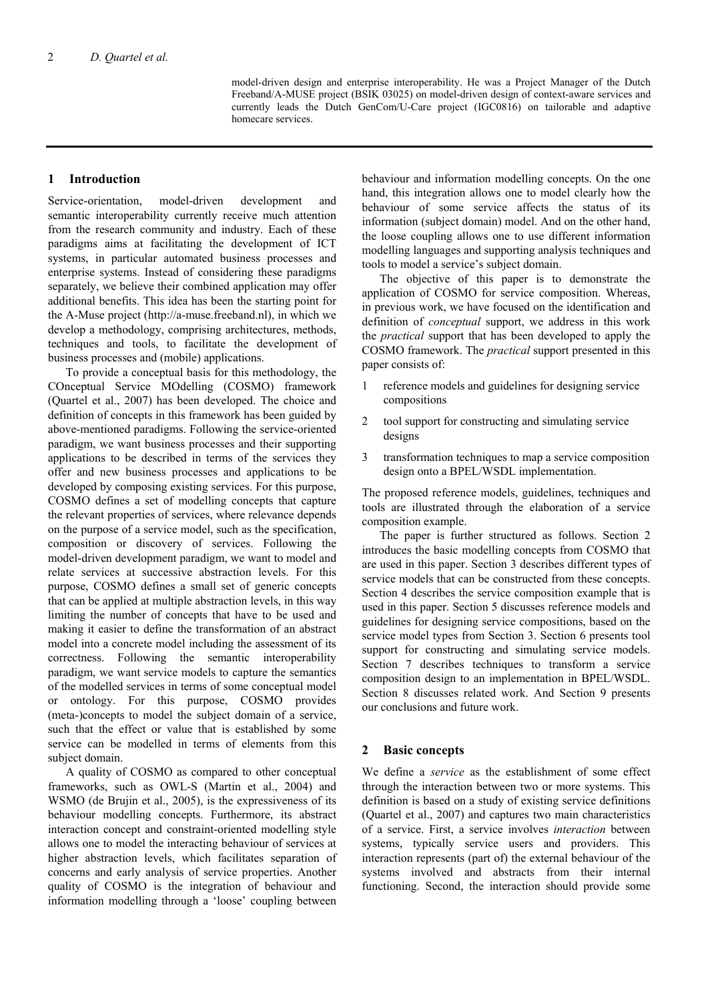model-driven design and enterprise interoperability. He was a Project Manager of the Dutch Freeband/A-MUSE project (BSIK 03025) on model-driven design of context-aware services and currently leads the Dutch GenCom/U-Care project (IGC0816) on tailorable and adaptive homecare services.

# **1 Introduction**

Service-orientation, model-driven development and semantic interoperability currently receive much attention from the research community and industry. Each of these paradigms aims at facilitating the development of ICT systems, in particular automated business processes and enterprise systems. Instead of considering these paradigms separately, we believe their combined application may offer additional benefits. This idea has been the starting point for the A-Muse project (http://a-muse.freeband.nl), in which we develop a methodology, comprising architectures, methods, techniques and tools, to facilitate the development of business processes and (mobile) applications.

To provide a conceptual basis for this methodology, the COnceptual Service MOdelling (COSMO) framework (Quartel et al., 2007) has been developed. The choice and definition of concepts in this framework has been guided by above-mentioned paradigms. Following the service-oriented paradigm, we want business processes and their supporting applications to be described in terms of the services they offer and new business processes and applications to be developed by composing existing services. For this purpose, COSMO defines a set of modelling concepts that capture the relevant properties of services, where relevance depends on the purpose of a service model, such as the specification, composition or discovery of services. Following the model-driven development paradigm, we want to model and relate services at successive abstraction levels. For this purpose, COSMO defines a small set of generic concepts that can be applied at multiple abstraction levels, in this way limiting the number of concepts that have to be used and making it easier to define the transformation of an abstract model into a concrete model including the assessment of its correctness. Following the semantic interoperability paradigm, we want service models to capture the semantics of the modelled services in terms of some conceptual model or ontology. For this purpose, COSMO provides (meta-)concepts to model the subject domain of a service, such that the effect or value that is established by some service can be modelled in terms of elements from this subject domain.

A quality of COSMO as compared to other conceptual frameworks, such as OWL-S (Martin et al., 2004) and WSMO (de Brujin et al., 2005), is the expressiveness of its behaviour modelling concepts. Furthermore, its abstract interaction concept and constraint-oriented modelling style allows one to model the interacting behaviour of services at higher abstraction levels, which facilitates separation of concerns and early analysis of service properties. Another quality of COSMO is the integration of behaviour and information modelling through a 'loose' coupling between behaviour and information modelling concepts. On the one hand, this integration allows one to model clearly how the behaviour of some service affects the status of its information (subject domain) model. And on the other hand, the loose coupling allows one to use different information modelling languages and supporting analysis techniques and tools to model a service's subject domain.

The objective of this paper is to demonstrate the application of COSMO for service composition. Whereas, in previous work, we have focused on the identification and definition of *conceptual* support, we address in this work the *practical* support that has been developed to apply the COSMO framework. The *practical* support presented in this paper consists of:

- 1 reference models and guidelines for designing service compositions
- 2 tool support for constructing and simulating service designs
- 3 transformation techniques to map a service composition design onto a BPEL/WSDL implementation.

The proposed reference models, guidelines, techniques and tools are illustrated through the elaboration of a service composition example.

The paper is further structured as follows. Section 2 introduces the basic modelling concepts from COSMO that are used in this paper. Section 3 describes different types of service models that can be constructed from these concepts. Section 4 describes the service composition example that is used in this paper. Section 5 discusses reference models and guidelines for designing service compositions, based on the service model types from Section 3. Section 6 presents tool support for constructing and simulating service models. Section 7 describes techniques to transform a service composition design to an implementation in BPEL/WSDL. Section 8 discusses related work. And Section 9 presents our conclusions and future work.

# **2 Basic concepts**

We define a *service* as the establishment of some effect through the interaction between two or more systems. This definition is based on a study of existing service definitions (Quartel et al., 2007) and captures two main characteristics of a service. First, a service involves *interaction* between systems, typically service users and providers. This interaction represents (part of) the external behaviour of the systems involved and abstracts from their internal functioning. Second, the interaction should provide some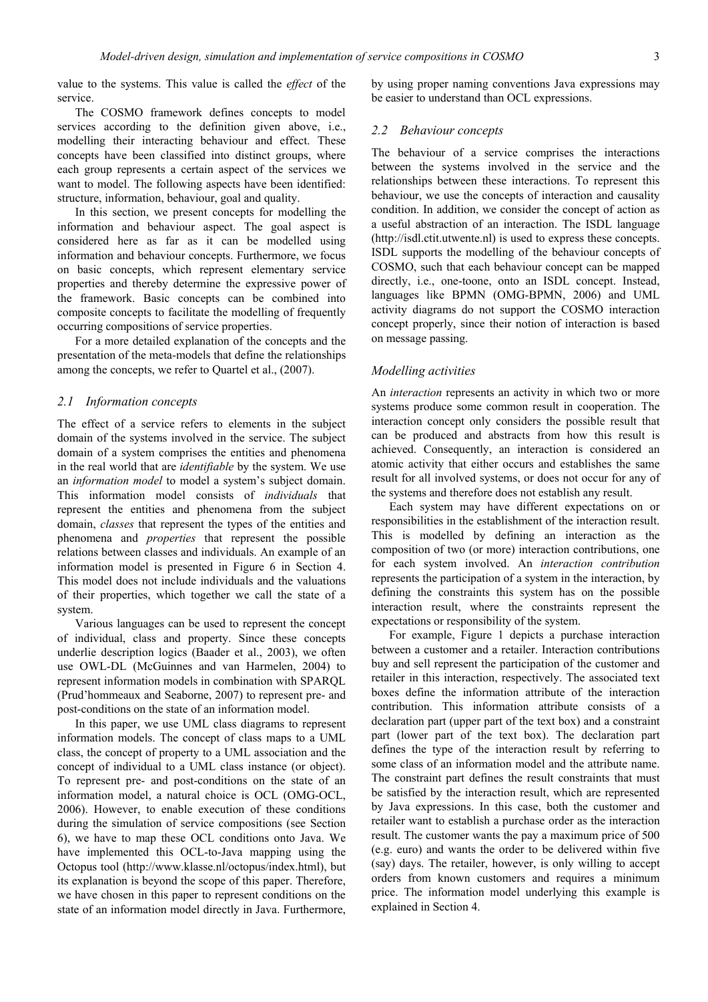value to the systems. This value is called the *effect* of the service.

The COSMO framework defines concepts to model services according to the definition given above, i.e., modelling their interacting behaviour and effect. These concepts have been classified into distinct groups, where each group represents a certain aspect of the services we want to model. The following aspects have been identified: structure, information, behaviour, goal and quality.

In this section, we present concepts for modelling the information and behaviour aspect. The goal aspect is considered here as far as it can be modelled using information and behaviour concepts. Furthermore, we focus on basic concepts, which represent elementary service properties and thereby determine the expressive power of the framework. Basic concepts can be combined into composite concepts to facilitate the modelling of frequently occurring compositions of service properties.

For a more detailed explanation of the concepts and the presentation of the meta-models that define the relationships among the concepts, we refer to Quartel et al., (2007).

# *2.1 Information concepts*

The effect of a service refers to elements in the subject domain of the systems involved in the service. The subject domain of a system comprises the entities and phenomena in the real world that are *identifiable* by the system. We use an *information model* to model a system's subject domain. This information model consists of *individuals* that represent the entities and phenomena from the subject domain, *classes* that represent the types of the entities and phenomena and *properties* that represent the possible relations between classes and individuals. An example of an information model is presented in Figure 6 in Section 4. This model does not include individuals and the valuations of their properties, which together we call the state of a system.

Various languages can be used to represent the concept of individual, class and property. Since these concepts underlie description logics (Baader et al., 2003), we often use OWL-DL (McGuinnes and van Harmelen, 2004) to represent information models in combination with SPARQL (Prud'hommeaux and Seaborne, 2007) to represent pre- and post-conditions on the state of an information model.

In this paper, we use UML class diagrams to represent information models. The concept of class maps to a UML class, the concept of property to a UML association and the concept of individual to a UML class instance (or object). To represent pre- and post-conditions on the state of an information model, a natural choice is OCL (OMG-OCL, 2006). However, to enable execution of these conditions during the simulation of service compositions (see Section 6), we have to map these OCL conditions onto Java. We have implemented this OCL-to-Java mapping using the Octopus tool (http://www.klasse.nl/octopus/index.html), but its explanation is beyond the scope of this paper. Therefore, we have chosen in this paper to represent conditions on the state of an information model directly in Java. Furthermore,

by using proper naming conventions Java expressions may be easier to understand than OCL expressions.

#### *2.2 Behaviour concepts*

The behaviour of a service comprises the interactions between the systems involved in the service and the relationships between these interactions. To represent this behaviour, we use the concepts of interaction and causality condition. In addition, we consider the concept of action as a useful abstraction of an interaction. The ISDL language (http://isdl.ctit.utwente.nl) is used to express these concepts. ISDL supports the modelling of the behaviour concepts of COSMO, such that each behaviour concept can be mapped directly, i.e., one-toone, onto an ISDL concept. Instead, languages like BPMN (OMG-BPMN, 2006) and UML activity diagrams do not support the COSMO interaction concept properly, since their notion of interaction is based on message passing.

### *Modelling activities*

An *interaction* represents an activity in which two or more systems produce some common result in cooperation. The interaction concept only considers the possible result that can be produced and abstracts from how this result is achieved. Consequently, an interaction is considered an atomic activity that either occurs and establishes the same result for all involved systems, or does not occur for any of the systems and therefore does not establish any result.

Each system may have different expectations on or responsibilities in the establishment of the interaction result. This is modelled by defining an interaction as the composition of two (or more) interaction contributions, one for each system involved. An *interaction contribution* represents the participation of a system in the interaction, by defining the constraints this system has on the possible interaction result, where the constraints represent the expectations or responsibility of the system.

For example, Figure 1 depicts a purchase interaction between a customer and a retailer. Interaction contributions buy and sell represent the participation of the customer and retailer in this interaction, respectively. The associated text boxes define the information attribute of the interaction contribution. This information attribute consists of a declaration part (upper part of the text box) and a constraint part (lower part of the text box). The declaration part defines the type of the interaction result by referring to some class of an information model and the attribute name. The constraint part defines the result constraints that must be satisfied by the interaction result, which are represented by Java expressions. In this case, both the customer and retailer want to establish a purchase order as the interaction result. The customer wants the pay a maximum price of 500 (e.g. euro) and wants the order to be delivered within five (say) days. The retailer, however, is only willing to accept orders from known customers and requires a minimum price. The information model underlying this example is explained in Section 4.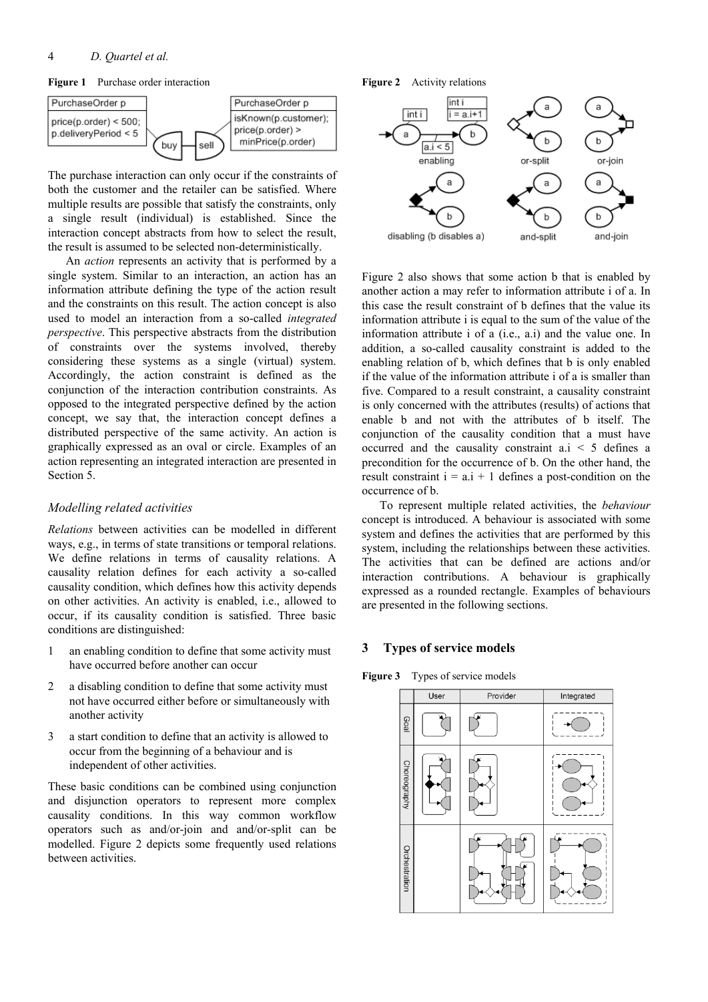#### **Figure 1** Purchase order interaction



The purchase interaction can only occur if the constraints of both the customer and the retailer can be satisfied. Where multiple results are possible that satisfy the constraints, only a single result (individual) is established. Since the interaction concept abstracts from how to select the result, the result is assumed to be selected non-deterministically.

An *action* represents an activity that is performed by a single system. Similar to an interaction, an action has an information attribute defining the type of the action result and the constraints on this result. The action concept is also used to model an interaction from a so-called *integrated perspective*. This perspective abstracts from the distribution of constraints over the systems involved, thereby considering these systems as a single (virtual) system. Accordingly, the action constraint is defined as the conjunction of the interaction contribution constraints. As opposed to the integrated perspective defined by the action concept, we say that, the interaction concept defines a distributed perspective of the same activity. An action is graphically expressed as an oval or circle. Examples of an action representing an integrated interaction are presented in Section 5.

# *Modelling related activities*

*Relations* between activities can be modelled in different ways, e.g., in terms of state transitions or temporal relations. We define relations in terms of causality relations. A causality relation defines for each activity a so-called causality condition, which defines how this activity depends on other activities. An activity is enabled, i.e., allowed to occur, if its causality condition is satisfied. Three basic conditions are distinguished:

- 1 an enabling condition to define that some activity must have occurred before another can occur
- 2 a disabling condition to define that some activity must not have occurred either before or simultaneously with another activity
- 3 a start condition to define that an activity is allowed to occur from the beginning of a behaviour and is independent of other activities.

These basic conditions can be combined using conjunction and disjunction operators to represent more complex causality conditions. In this way common workflow operators such as and/or-join and and/or-split can be modelled. Figure 2 depicts some frequently used relations between activities.





Figure 2 also shows that some action b that is enabled by another action a may refer to information attribute i of a. In this case the result constraint of b defines that the value its information attribute i is equal to the sum of the value of the information attribute i of a (i.e., a.i) and the value one. In addition, a so-called causality constraint is added to the enabling relation of b, which defines that b is only enabled if the value of the information attribute i of a is smaller than five. Compared to a result constraint, a causality constraint is only concerned with the attributes (results) of actions that enable b and not with the attributes of b itself. The conjunction of the causality condition that a must have occurred and the causality constraint a.i < 5 defines a precondition for the occurrence of b. On the other hand, the result constraint  $i = a.i + 1$  defines a post-condition on the occurrence of b.

To represent multiple related activities, the *behaviour* concept is introduced. A behaviour is associated with some system and defines the activities that are performed by this system, including the relationships between these activities. The activities that can be defined are actions and/or interaction contributions. A behaviour is graphically expressed as a rounded rectangle. Examples of behaviours are presented in the following sections.

### **3 Types of service models**

**Figure 3** Types of service models

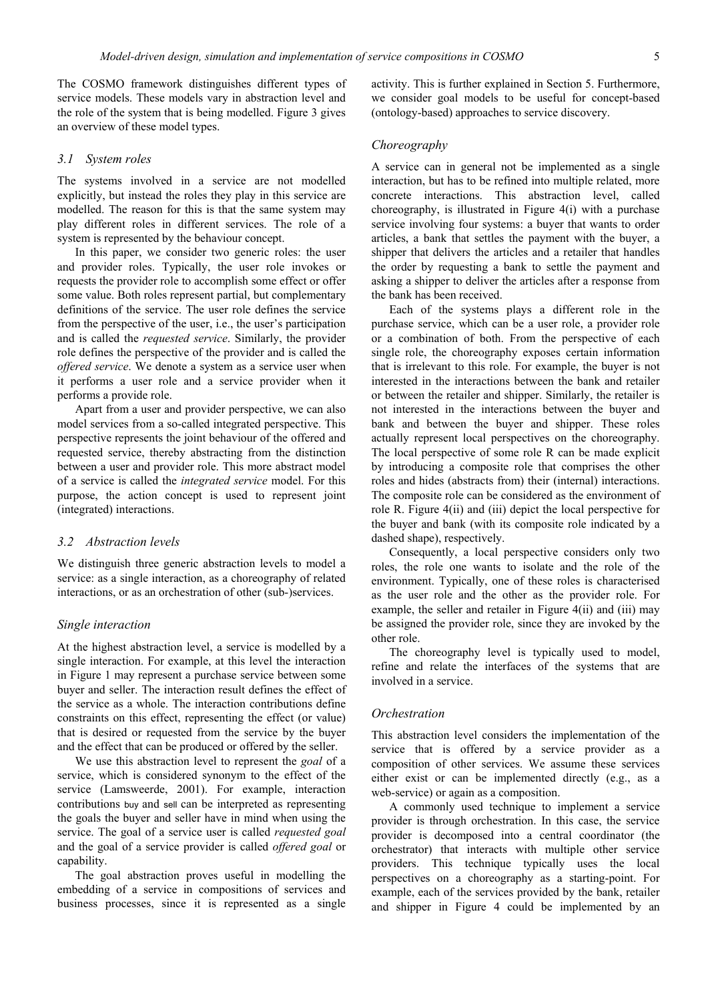The COSMO framework distinguishes different types of service models. These models vary in abstraction level and the role of the system that is being modelled. Figure 3 gives an overview of these model types.

#### *3.1 System roles*

The systems involved in a service are not modelled explicitly, but instead the roles they play in this service are modelled. The reason for this is that the same system may play different roles in different services. The role of a system is represented by the behaviour concept.

In this paper, we consider two generic roles: the user and provider roles. Typically, the user role invokes or requests the provider role to accomplish some effect or offer some value. Both roles represent partial, but complementary definitions of the service. The user role defines the service from the perspective of the user, i.e., the user's participation and is called the *requested service*. Similarly, the provider role defines the perspective of the provider and is called the *offered service*. We denote a system as a service user when it performs a user role and a service provider when it performs a provide role.

Apart from a user and provider perspective, we can also model services from a so-called integrated perspective. This perspective represents the joint behaviour of the offered and requested service, thereby abstracting from the distinction between a user and provider role. This more abstract model of a service is called the *integrated service* model. For this purpose, the action concept is used to represent joint (integrated) interactions.

### *3.2 Abstraction levels*

We distinguish three generic abstraction levels to model a service: as a single interaction, as a choreography of related interactions, or as an orchestration of other (sub-)services.

#### *Single interaction*

At the highest abstraction level, a service is modelled by a single interaction. For example, at this level the interaction in Figure 1 may represent a purchase service between some buyer and seller. The interaction result defines the effect of the service as a whole. The interaction contributions define constraints on this effect, representing the effect (or value) that is desired or requested from the service by the buyer and the effect that can be produced or offered by the seller.

We use this abstraction level to represent the *goal* of a service, which is considered synonym to the effect of the service (Lamsweerde, 2001). For example, interaction contributions buy and sell can be interpreted as representing the goals the buyer and seller have in mind when using the service. The goal of a service user is called *requested goal* and the goal of a service provider is called *offered goal* or capability.

The goal abstraction proves useful in modelling the embedding of a service in compositions of services and business processes, since it is represented as a single activity. This is further explained in Section 5. Furthermore, we consider goal models to be useful for concept-based (ontology-based) approaches to service discovery.

#### *Choreography*

A service can in general not be implemented as a single interaction, but has to be refined into multiple related, more concrete interactions. This abstraction level, called choreography, is illustrated in Figure 4(i) with a purchase service involving four systems: a buyer that wants to order articles, a bank that settles the payment with the buyer, a shipper that delivers the articles and a retailer that handles the order by requesting a bank to settle the payment and asking a shipper to deliver the articles after a response from the bank has been received.

Each of the systems plays a different role in the purchase service, which can be a user role, a provider role or a combination of both. From the perspective of each single role, the choreography exposes certain information that is irrelevant to this role. For example, the buyer is not interested in the interactions between the bank and retailer or between the retailer and shipper. Similarly, the retailer is not interested in the interactions between the buyer and bank and between the buyer and shipper. These roles actually represent local perspectives on the choreography. The local perspective of some role R can be made explicit by introducing a composite role that comprises the other roles and hides (abstracts from) their (internal) interactions. The composite role can be considered as the environment of role R. Figure 4(ii) and (iii) depict the local perspective for the buyer and bank (with its composite role indicated by a dashed shape), respectively.

Consequently, a local perspective considers only two roles, the role one wants to isolate and the role of the environment. Typically, one of these roles is characterised as the user role and the other as the provider role. For example, the seller and retailer in Figure 4(ii) and (iii) may be assigned the provider role, since they are invoked by the other role.

The choreography level is typically used to model, refine and relate the interfaces of the systems that are involved in a service.

#### *Orchestration*

This abstraction level considers the implementation of the service that is offered by a service provider as a composition of other services. We assume these services either exist or can be implemented directly (e.g., as a web-service) or again as a composition.

A commonly used technique to implement a service provider is through orchestration. In this case, the service provider is decomposed into a central coordinator (the orchestrator) that interacts with multiple other service providers. This technique typically uses the local perspectives on a choreography as a starting-point. For example, each of the services provided by the bank, retailer and shipper in Figure 4 could be implemented by an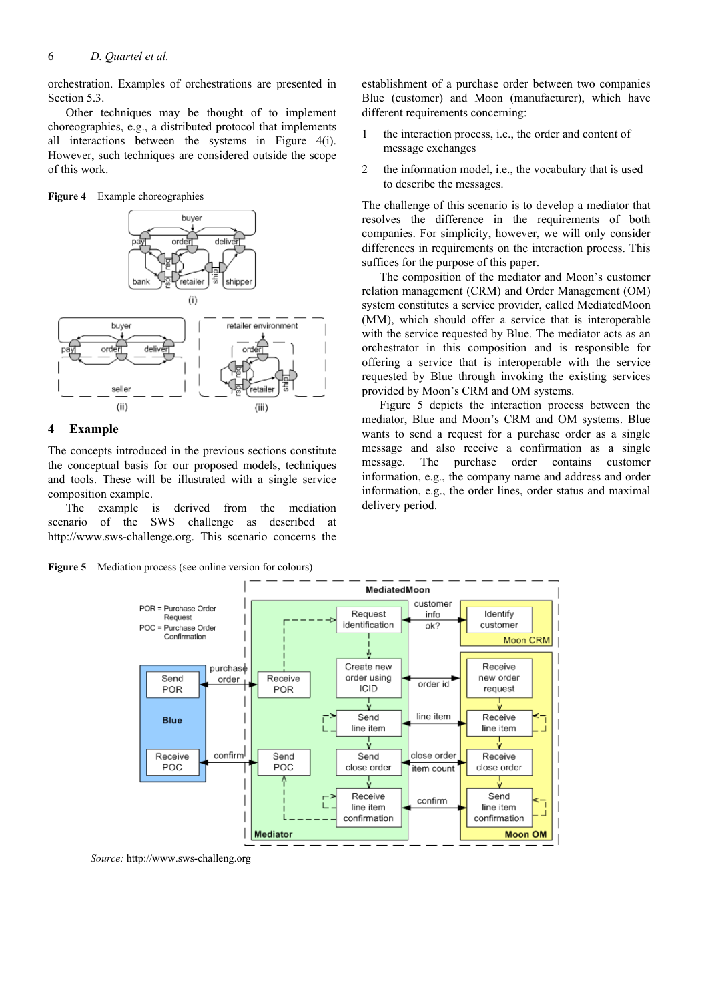orchestration. Examples of orchestrations are presented in Section 5.3.

Other techniques may be thought of to implement choreographies, e.g., a distributed protocol that implements all interactions between the systems in Figure 4(i). However, such techniques are considered outside the scope of this work.

#### **Figure 4** Example choreographies



#### **4 Example**

The concepts introduced in the previous sections constitute the conceptual basis for our proposed models, techniques and tools. These will be illustrated with a single service composition example.

The example is derived from the mediation scenario of the SWS challenge as described at http://www.sws-challenge.org. This scenario concerns the

**Figure 5** Mediation process (see online version for colours)

establishment of a purchase order between two companies Blue (customer) and Moon (manufacturer), which have different requirements concerning:

- 1 the interaction process, i.e., the order and content of message exchanges
- 2 the information model, i.e., the vocabulary that is used to describe the messages.

The challenge of this scenario is to develop a mediator that resolves the difference in the requirements of both companies. For simplicity, however, we will only consider differences in requirements on the interaction process. This suffices for the purpose of this paper.

The composition of the mediator and Moon's customer relation management (CRM) and Order Management (OM) system constitutes a service provider, called MediatedMoon (MM), which should offer a service that is interoperable with the service requested by Blue. The mediator acts as an orchestrator in this composition and is responsible for offering a service that is interoperable with the service requested by Blue through invoking the existing services provided by Moon's CRM and OM systems.

Figure 5 depicts the interaction process between the mediator, Blue and Moon's CRM and OM systems. Blue wants to send a request for a purchase order as a single message and also receive a confirmation as a single message. The purchase order contains customer information, e.g., the company name and address and order information, e.g., the order lines, order status and maximal delivery period.



*Source:* http://www.sws-challeng.org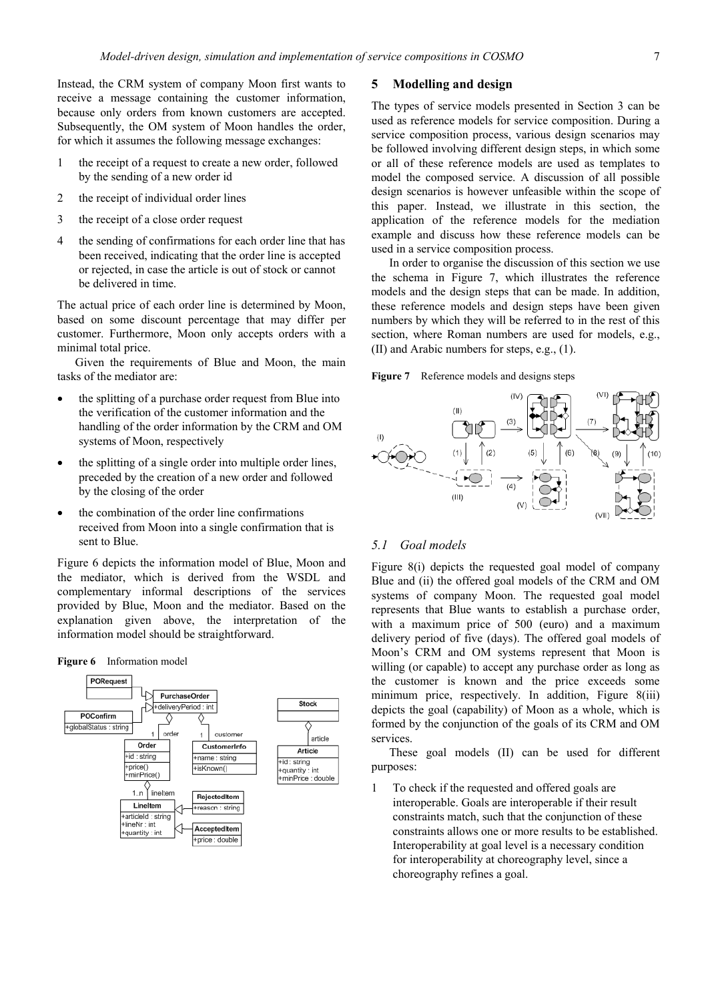Instead, the CRM system of company Moon first wants to receive a message containing the customer information, because only orders from known customers are accepted. Subsequently, the OM system of Moon handles the order, for which it assumes the following message exchanges:

- 1 the receipt of a request to create a new order, followed by the sending of a new order id
- 2 the receipt of individual order lines
- 3 the receipt of a close order request
- 4 the sending of confirmations for each order line that has been received, indicating that the order line is accepted or rejected, in case the article is out of stock or cannot be delivered in time.

The actual price of each order line is determined by Moon, based on some discount percentage that may differ per customer. Furthermore, Moon only accepts orders with a minimal total price.

Given the requirements of Blue and Moon, the main tasks of the mediator are:

- the splitting of a purchase order request from Blue into the verification of the customer information and the handling of the order information by the CRM and OM systems of Moon, respectively
- the splitting of a single order into multiple order lines, preceded by the creation of a new order and followed by the closing of the order
- the combination of the order line confirmations received from Moon into a single confirmation that is sent to Blue.

Figure 6 depicts the information model of Blue, Moon and the mediator, which is derived from the WSDL and complementary informal descriptions of the services provided by Blue, Moon and the mediator. Based on the explanation given above, the interpretation of the information model should be straightforward.





# **5 Modelling and design**

The types of service models presented in Section 3 can be used as reference models for service composition. During a service composition process, various design scenarios may be followed involving different design steps, in which some or all of these reference models are used as templates to model the composed service. A discussion of all possible design scenarios is however unfeasible within the scope of this paper. Instead, we illustrate in this section, the application of the reference models for the mediation example and discuss how these reference models can be used in a service composition process.

In order to organise the discussion of this section we use the schema in Figure 7, which illustrates the reference models and the design steps that can be made. In addition, these reference models and design steps have been given numbers by which they will be referred to in the rest of this section, where Roman numbers are used for models, e.g., (II) and Arabic numbers for steps, e.g., (1).

**Figure 7** Reference models and designs steps



### *5.1 Goal models*

Figure 8(i) depicts the requested goal model of company Blue and (ii) the offered goal models of the CRM and OM systems of company Moon. The requested goal model represents that Blue wants to establish a purchase order, with a maximum price of 500 (euro) and a maximum delivery period of five (days). The offered goal models of Moon's CRM and OM systems represent that Moon is willing (or capable) to accept any purchase order as long as the customer is known and the price exceeds some minimum price, respectively. In addition, Figure 8(iii) depicts the goal (capability) of Moon as a whole, which is formed by the conjunction of the goals of its CRM and OM services.

These goal models (II) can be used for different purposes:

1 To check if the requested and offered goals are interoperable. Goals are interoperable if their result constraints match, such that the conjunction of these constraints allows one or more results to be established. Interoperability at goal level is a necessary condition for interoperability at choreography level, since a choreography refines a goal.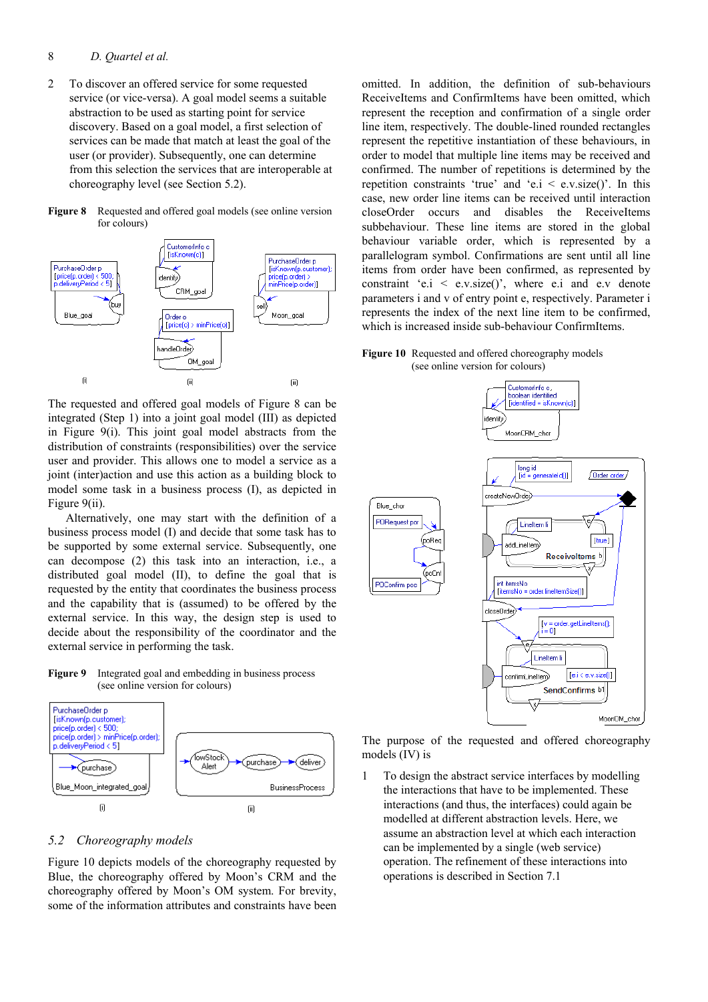### 8 *D. Quartel et al.*

2 To discover an offered service for some requested service (or vice-versa). A goal model seems a suitable abstraction to be used as starting point for service discovery. Based on a goal model, a first selection of services can be made that match at least the goal of the user (or provider). Subsequently, one can determine from this selection the services that are interoperable at choreography level (see Section 5.2).

#### **Figure 8** Requested and offered goal models (see online version for colours)



The requested and offered goal models of Figure 8 can be integrated (Step 1) into a joint goal model (III) as depicted in Figure 9(i). This joint goal model abstracts from the distribution of constraints (responsibilities) over the service user and provider. This allows one to model a service as a joint (inter)action and use this action as a building block to model some task in a business process (I), as depicted in Figure 9(ii).

Alternatively, one may start with the definition of a business process model (I) and decide that some task has to be supported by some external service. Subsequently, one can decompose (2) this task into an interaction, i.e., a distributed goal model (II), to define the goal that is requested by the entity that coordinates the business process and the capability that is (assumed) to be offered by the external service. In this way, the design step is used to decide about the responsibility of the coordinator and the external service in performing the task.

**Figure 9** Integrated goal and embedding in business process (see online version for colours)



# *5.2 Choreography models*

Figure 10 depicts models of the choreography requested by Blue, the choreography offered by Moon's CRM and the choreography offered by Moon's OM system. For brevity, some of the information attributes and constraints have been

omitted. In addition, the definition of sub-behaviours ReceiveItems and ConfirmItems have been omitted, which represent the reception and confirmation of a single order line item, respectively. The double-lined rounded rectangles represent the repetitive instantiation of these behaviours, in order to model that multiple line items may be received and confirmed. The number of repetitions is determined by the repetition constraints 'true' and 'e.i  $\leq$  e.v. size()'. In this case, new order line items can be received until interaction closeOrder occurs and disables the ReceiveItems subbehaviour. These line items are stored in the global behaviour variable order, which is represented by a parallelogram symbol. Confirmations are sent until all line items from order have been confirmed, as represented by constraint 'e.i  $\leq$  e.v. size()', where e.i and e.v denote parameters i and v of entry point e, respectively. Parameter i represents the index of the next line item to be confirmed, which is increased inside sub-behaviour ConfirmItems.

#### **Figure 10** Requested and offered choreography models (see online version for colours)



The purpose of the requested and offered choreography models (IV) is

1 To design the abstract service interfaces by modelling the interactions that have to be implemented. These interactions (and thus, the interfaces) could again be modelled at different abstraction levels. Here, we assume an abstraction level at which each interaction can be implemented by a single (web service) operation. The refinement of these interactions into operations is described in Section 7.1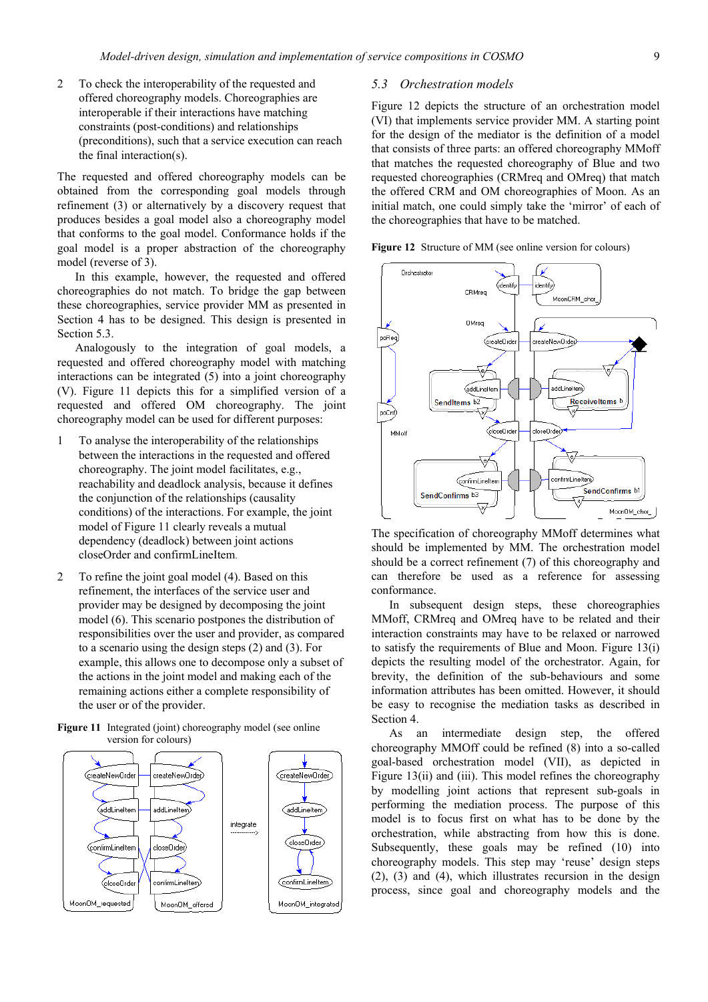2 To check the interoperability of the requested and offered choreography models. Choreographies are interoperable if their interactions have matching constraints (post-conditions) and relationships (preconditions), such that a service execution can reach the final interaction(s).

The requested and offered choreography models can be obtained from the corresponding goal models through refinement (3) or alternatively by a discovery request that produces besides a goal model also a choreography model that conforms to the goal model. Conformance holds if the goal model is a proper abstraction of the choreography model (reverse of 3).

In this example, however, the requested and offered choreographies do not match. To bridge the gap between these choreographies, service provider MM as presented in Section 4 has to be designed. This design is presented in Section 5.3.

Analogously to the integration of goal models, a requested and offered choreography model with matching interactions can be integrated (5) into a joint choreography (V). Figure 11 depicts this for a simplified version of a requested and offered OM choreography. The joint choreography model can be used for different purposes:

- 1 To analyse the interoperability of the relationships between the interactions in the requested and offered choreography. The joint model facilitates, e.g., reachability and deadlock analysis, because it defines the conjunction of the relationships (causality conditions) of the interactions. For example, the joint model of Figure 11 clearly reveals a mutual dependency (deadlock) between joint actions closeOrder and confirmLineItem.
- 2 To refine the joint goal model (4). Based on this refinement, the interfaces of the service user and provider may be designed by decomposing the joint model (6). This scenario postpones the distribution of responsibilities over the user and provider, as compared to a scenario using the design steps (2) and (3). For example, this allows one to decompose only a subset of the actions in the joint model and making each of the remaining actions either a complete responsibility of the user or of the provider.





### *5.3 Orchestration models*

Figure 12 depicts the structure of an orchestration model (VI) that implements service provider MM. A starting point for the design of the mediator is the definition of a model that consists of three parts: an offered choreography MMoff that matches the requested choreography of Blue and two requested choreographies (CRMreq and OMreq) that match the offered CRM and OM choreographies of Moon. As an initial match, one could simply take the 'mirror' of each of the choreographies that have to be matched.

**Figure 12** Structure of MM (see online version for colours)



The specification of choreography MMoff determines what should be implemented by MM. The orchestration model should be a correct refinement (7) of this choreography and can therefore be used as a reference for assessing conformance.

In subsequent design steps, these choreographies MMoff, CRMreq and OMreq have to be related and their interaction constraints may have to be relaxed or narrowed to satisfy the requirements of Blue and Moon. Figure 13(i) depicts the resulting model of the orchestrator. Again, for brevity, the definition of the sub-behaviours and some information attributes has been omitted. However, it should be easy to recognise the mediation tasks as described in Section 4.

As an intermediate design step, the offered choreography MMOff could be refined (8) into a so-called goal-based orchestration model (VII), as depicted in Figure 13(ii) and (iii). This model refines the choreography by modelling joint actions that represent sub-goals in performing the mediation process. The purpose of this model is to focus first on what has to be done by the orchestration, while abstracting from how this is done. Subsequently, these goals may be refined (10) into choreography models. This step may 'reuse' design steps (2), (3) and (4), which illustrates recursion in the design process, since goal and choreography models and the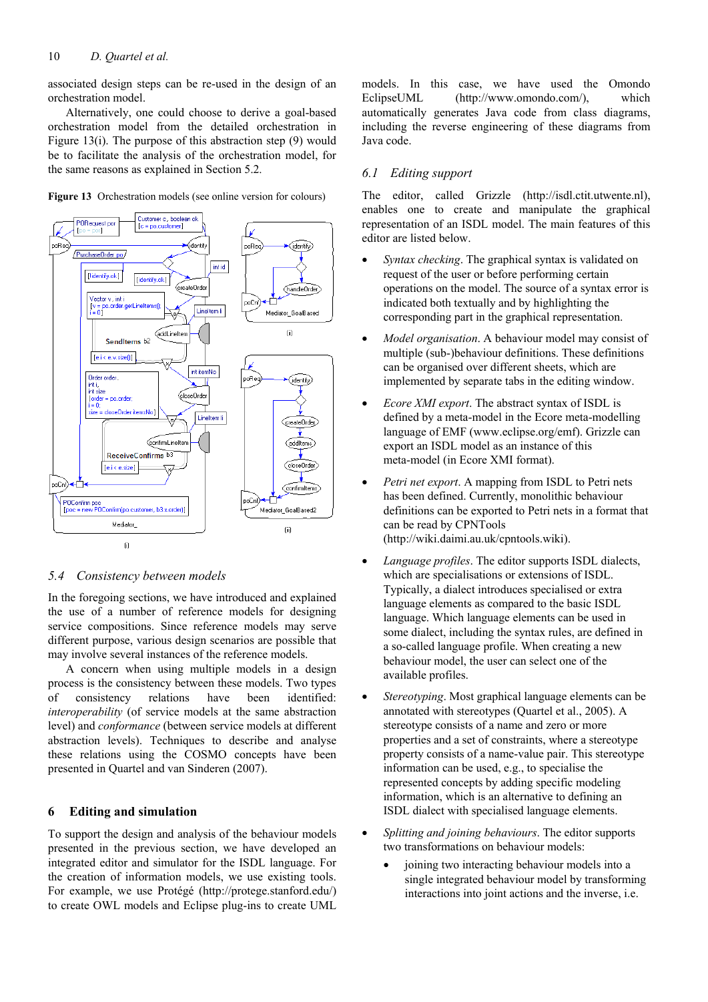associated design steps can be re-used in the design of an orchestration model.

Alternatively, one could choose to derive a goal-based orchestration model from the detailed orchestration in Figure 13(i). The purpose of this abstraction step (9) would be to facilitate the analysis of the orchestration model, for the same reasons as explained in Section 5.2.





# *5.4 Consistency between models*

In the foregoing sections, we have introduced and explained the use of a number of reference models for designing service compositions. Since reference models may serve different purpose, various design scenarios are possible that may involve several instances of the reference models.

A concern when using multiple models in a design process is the consistency between these models. Two types of consistency relations have been identified: *interoperability* (of service models at the same abstraction level) and *conformance* (between service models at different abstraction levels). Techniques to describe and analyse these relations using the COSMO concepts have been presented in Quartel and van Sinderen (2007).

# **6 Editing and simulation**

To support the design and analysis of the behaviour models presented in the previous section, we have developed an integrated editor and simulator for the ISDL language. For the creation of information models, we use existing tools. For example, we use Protégé (http://protege.stanford.edu/) to create OWL models and Eclipse plug-ins to create UML models. In this case, we have used the Omondo EclipseUML (http://www.omondo.com/), which automatically generates Java code from class diagrams, including the reverse engineering of these diagrams from Java code.

### *6.1 Editing support*

The editor, called Grizzle (http://isdl.ctit.utwente.nl), enables one to create and manipulate the graphical representation of an ISDL model. The main features of this editor are listed below.

- *Syntax checking*. The graphical syntax is validated on request of the user or before performing certain operations on the model. The source of a syntax error is indicated both textually and by highlighting the corresponding part in the graphical representation.
- *Model organisation*. A behaviour model may consist of multiple (sub-)behaviour definitions. These definitions can be organised over different sheets, which are implemented by separate tabs in the editing window.
- *Ecore XMI export*. The abstract syntax of ISDL is defined by a meta-model in the Ecore meta-modelling language of EMF (www.eclipse.org/emf). Grizzle can export an ISDL model as an instance of this meta-model (in Ecore XMI format).
- *Petri net export*. A mapping from ISDL to Petri nets has been defined. Currently, monolithic behaviour definitions can be exported to Petri nets in a format that can be read by CPNTools (http://wiki.daimi.au.uk/cpntools.wiki).
- *Language profiles*. The editor supports ISDL dialects, which are specialisations or extensions of ISDL. Typically, a dialect introduces specialised or extra language elements as compared to the basic ISDL language. Which language elements can be used in some dialect, including the syntax rules, are defined in a so-called language profile. When creating a new behaviour model, the user can select one of the available profiles.
- *Stereotyping*. Most graphical language elements can be annotated with stereotypes (Quartel et al., 2005). A stereotype consists of a name and zero or more properties and a set of constraints, where a stereotype property consists of a name-value pair. This stereotype information can be used, e.g., to specialise the represented concepts by adding specific modeling information, which is an alternative to defining an ISDL dialect with specialised language elements.
- *Splitting and joining behaviours*. The editor supports two transformations on behaviour models:
	- joining two interacting behaviour models into a single integrated behaviour model by transforming interactions into joint actions and the inverse, i.e.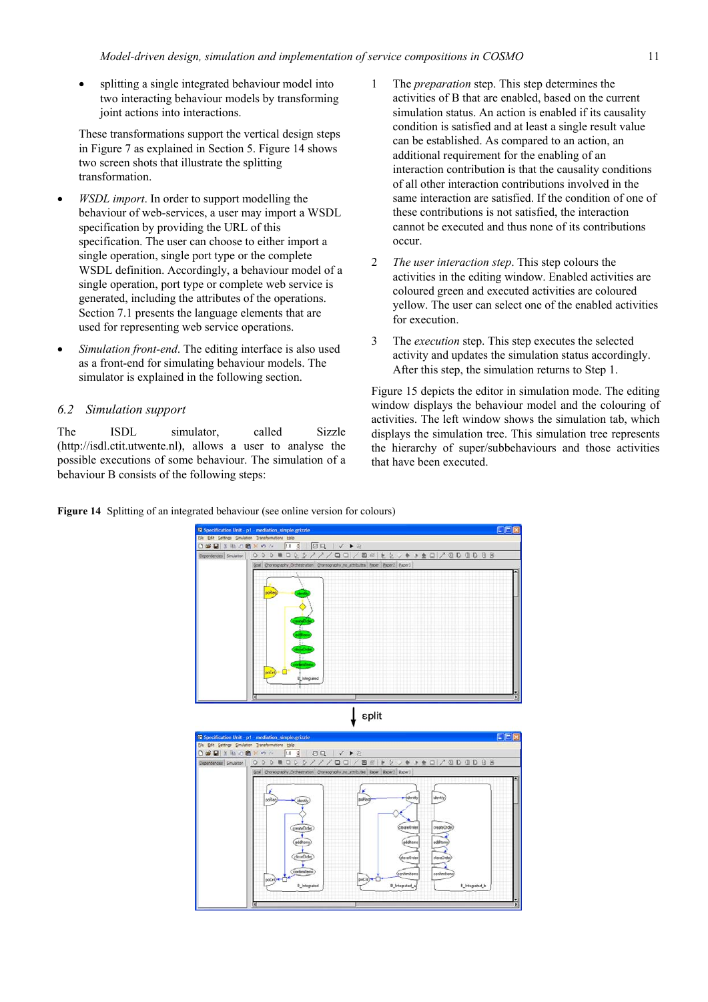splitting a single integrated behaviour model into two interacting behaviour models by transforming joint actions into interactions.

These transformations support the vertical design steps in Figure 7 as explained in Section 5. Figure 14 shows two screen shots that illustrate the splitting transformation.

- *WSDL import*. In order to support modelling the behaviour of web-services, a user may import a WSDL specification by providing the URL of this specification. The user can choose to either import a single operation, single port type or the complete WSDL definition. Accordingly, a behaviour model of a single operation, port type or complete web service is generated, including the attributes of the operations. Section 7.1 presents the language elements that are used for representing web service operations.
- *Simulation front-end*. The editing interface is also used as a front-end for simulating behaviour models. The simulator is explained in the following section.

# *6.2 Simulation support*

The ISDL simulator, called Sizzle (http://isdl.ctit.utwente.nl), allows a user to analyse the possible executions of some behaviour. The simulation of a behaviour B consists of the following steps:

- 1 The *preparation* step. This step determines the activities of B that are enabled, based on the current simulation status. An action is enabled if its causality condition is satisfied and at least a single result value can be established. As compared to an action, an additional requirement for the enabling of an interaction contribution is that the causality conditions of all other interaction contributions involved in the same interaction are satisfied. If the condition of one of these contributions is not satisfied, the interaction cannot be executed and thus none of its contributions occur.
- 2 *The user interaction step*. This step colours the activities in the editing window. Enabled activities are coloured green and executed activities are coloured yellow. The user can select one of the enabled activities for execution.
- 3 The *execution* step. This step executes the selected activity and updates the simulation status accordingly. After this step, the simulation returns to Step 1.

Figure 15 depicts the editor in simulation mode. The editing window displays the behaviour model and the colouring of activities. The left window shows the simulation tab, which displays the simulation tree. This simulation tree represents the hierarchy of super/subbehaviours and those activities that have been executed.

**Figure 14** Splitting of an integrated behaviour (see online version for colours)

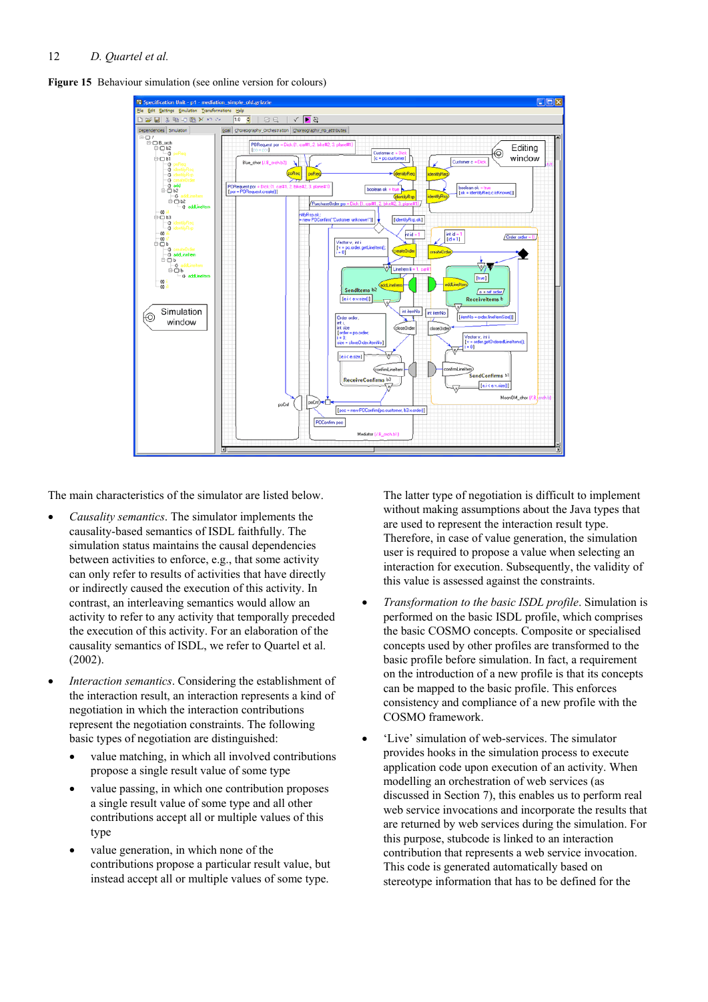# 12 *D. Quartel et al.*

**Figure 15** Behaviour simulation (see online version for colours)



The main characteristics of the simulator are listed below.

- *Causality semantics*. The simulator implements the causality-based semantics of ISDL faithfully. The simulation status maintains the causal dependencies between activities to enforce, e.g., that some activity can only refer to results of activities that have directly or indirectly caused the execution of this activity. In contrast, an interleaving semantics would allow an activity to refer to any activity that temporally preceded the execution of this activity. For an elaboration of the causality semantics of ISDL, we refer to Quartel et al. (2002).
- *Interaction semantics*. Considering the establishment of the interaction result, an interaction represents a kind of negotiation in which the interaction contributions represent the negotiation constraints. The following basic types of negotiation are distinguished:
	- value matching, in which all involved contributions propose a single result value of some type
	- value passing, in which one contribution proposes a single result value of some type and all other contributions accept all or multiple values of this type
	- value generation, in which none of the contributions propose a particular result value, but instead accept all or multiple values of some type.

The latter type of negotiation is difficult to implement without making assumptions about the Java types that are used to represent the interaction result type. Therefore, in case of value generation, the simulation user is required to propose a value when selecting an interaction for execution. Subsequently, the validity of this value is assessed against the constraints.

- *Transformation to the basic ISDL profile*. Simulation is performed on the basic ISDL profile, which comprises the basic COSMO concepts. Composite or specialised concepts used by other profiles are transformed to the basic profile before simulation. In fact, a requirement on the introduction of a new profile is that its concepts can be mapped to the basic profile. This enforces consistency and compliance of a new profile with the COSMO framework.
- 'Live' simulation of web-services. The simulator provides hooks in the simulation process to execute application code upon execution of an activity. When modelling an orchestration of web services (as discussed in Section 7), this enables us to perform real web service invocations and incorporate the results that are returned by web services during the simulation. For this purpose, stubcode is linked to an interaction contribution that represents a web service invocation. This code is generated automatically based on stereotype information that has to be defined for the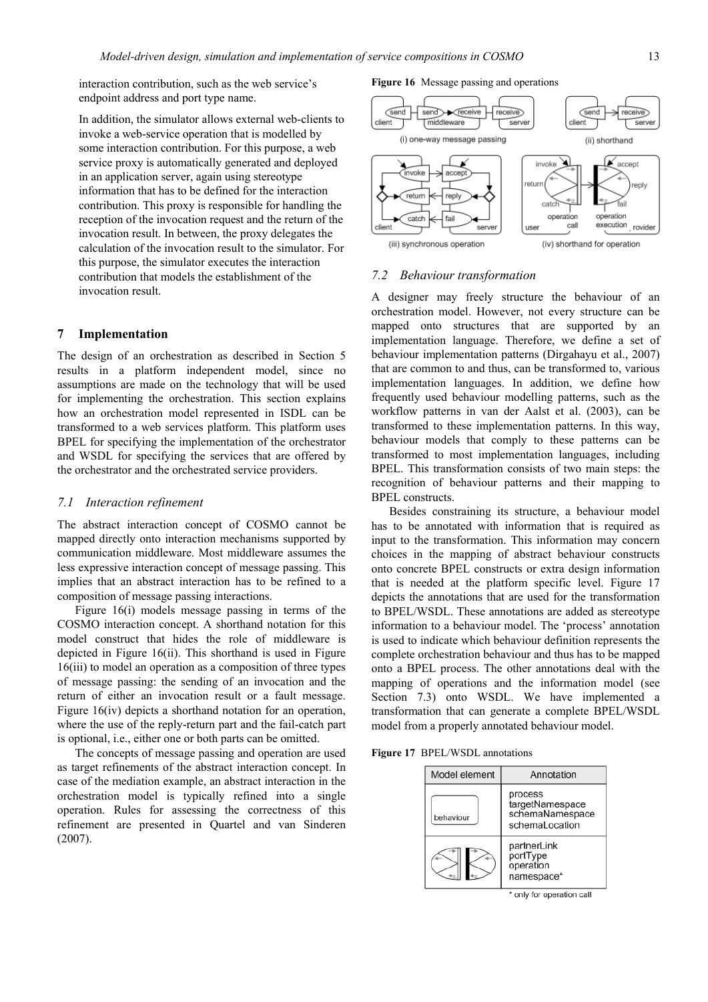interaction contribution, such as the web service's endpoint address and port type name.

In addition, the simulator allows external web-clients to invoke a web-service operation that is modelled by some interaction contribution. For this purpose, a web service proxy is automatically generated and deployed in an application server, again using stereotype information that has to be defined for the interaction contribution. This proxy is responsible for handling the reception of the invocation request and the return of the invocation result. In between, the proxy delegates the calculation of the invocation result to the simulator. For this purpose, the simulator executes the interaction contribution that models the establishment of the invocation result.

# **7 Implementation**

The design of an orchestration as described in Section 5 results in a platform independent model, since no assumptions are made on the technology that will be used for implementing the orchestration. This section explains how an orchestration model represented in ISDL can be transformed to a web services platform. This platform uses BPEL for specifying the implementation of the orchestrator and WSDL for specifying the services that are offered by the orchestrator and the orchestrated service providers.

### *7.1 Interaction refinement*

The abstract interaction concept of COSMO cannot be mapped directly onto interaction mechanisms supported by communication middleware. Most middleware assumes the less expressive interaction concept of message passing. This implies that an abstract interaction has to be refined to a composition of message passing interactions.

Figure 16(i) models message passing in terms of the COSMO interaction concept. A shorthand notation for this model construct that hides the role of middleware is depicted in Figure 16(ii). This shorthand is used in Figure 16(iii) to model an operation as a composition of three types of message passing: the sending of an invocation and the return of either an invocation result or a fault message. Figure 16(iv) depicts a shorthand notation for an operation, where the use of the reply-return part and the fail-catch part is optional, i.e., either one or both parts can be omitted.

The concepts of message passing and operation are used as target refinements of the abstract interaction concept. In case of the mediation example, an abstract interaction in the orchestration model is typically refined into a single operation. Rules for assessing the correctness of this refinement are presented in Quartel and van Sinderen (2007).

#### **Figure 16** Message passing and operations



#### *7.2 Behaviour transformation*

A designer may freely structure the behaviour of an orchestration model. However, not every structure can be mapped onto structures that are supported by an implementation language. Therefore, we define a set of behaviour implementation patterns (Dirgahayu et al., 2007) that are common to and thus, can be transformed to, various implementation languages. In addition, we define how frequently used behaviour modelling patterns, such as the workflow patterns in van der Aalst et al. (2003), can be transformed to these implementation patterns. In this way, behaviour models that comply to these patterns can be transformed to most implementation languages, including BPEL. This transformation consists of two main steps: the recognition of behaviour patterns and their mapping to BPEL constructs.

Besides constraining its structure, a behaviour model has to be annotated with information that is required as input to the transformation. This information may concern choices in the mapping of abstract behaviour constructs onto concrete BPEL constructs or extra design information that is needed at the platform specific level. Figure 17 depicts the annotations that are used for the transformation to BPEL/WSDL. These annotations are added as stereotype information to a behaviour model. The 'process' annotation is used to indicate which behaviour definition represents the complete orchestration behaviour and thus has to be mapped onto a BPEL process. The other annotations deal with the mapping of operations and the information model (see Section 7.3) onto WSDL. We have implemented a transformation that can generate a complete BPEL/WSDL model from a properly annotated behaviour model.

|  | Figure 17 BPEL/WSDL annotations |  |
|--|---------------------------------|--|
|--|---------------------------------|--|

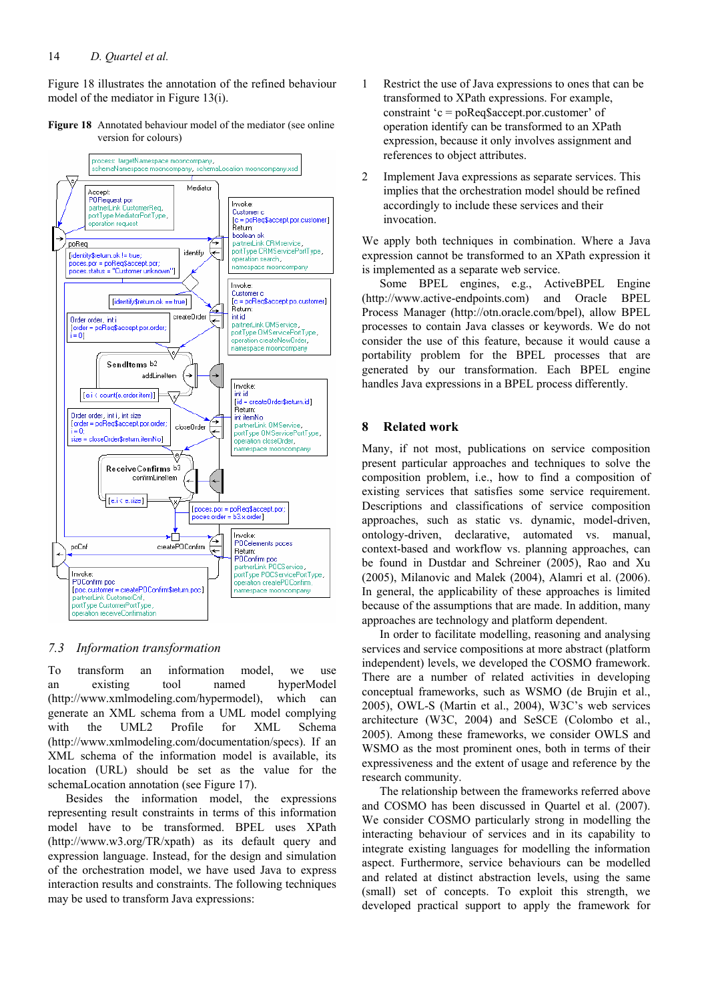Figure 18 illustrates the annotation of the refined behaviour model of the mediator in Figure 13(i).



**Figure 18** Annotated behaviour model of the mediator (see online version for colours)

# *7.3 Information transformation*

To transform an information model, we use an existing tool named hyperModel (http://www.xmlmodeling.com/hypermodel), which can generate an XML schema from a UML model complying with the UML2 Profile for XML Schema (http://www.xmlmodeling.com/documentation/specs). If an XML schema of the information model is available, its location (URL) should be set as the value for the schemaLocation annotation (see Figure 17).

Besides the information model, the expressions representing result constraints in terms of this information model have to be transformed. BPEL uses XPath (http://www.w3.org/TR/xpath) as its default query and expression language. Instead, for the design and simulation of the orchestration model, we have used Java to express interaction results and constraints. The following techniques may be used to transform Java expressions:

- 1 Restrict the use of Java expressions to ones that can be transformed to XPath expressions. For example, constraint 'c = poReq\$accept.por.customer' of operation identify can be transformed to an XPath expression, because it only involves assignment and references to object attributes.
- 2 Implement Java expressions as separate services. This implies that the orchestration model should be refined accordingly to include these services and their invocation.

We apply both techniques in combination. Where a Java expression cannot be transformed to an XPath expression it is implemented as a separate web service.

Some BPEL engines, e.g., ActiveBPEL Engine (http://www.active-endpoints.com) and Oracle BPEL Process Manager (http://otn.oracle.com/bpel), allow BPEL processes to contain Java classes or keywords. We do not consider the use of this feature, because it would cause a portability problem for the BPEL processes that are generated by our transformation. Each BPEL engine handles Java expressions in a BPEL process differently.

# **8 Related work**

Many, if not most, publications on service composition present particular approaches and techniques to solve the composition problem, i.e., how to find a composition of existing services that satisfies some service requirement. Descriptions and classifications of service composition approaches, such as static vs. dynamic, model-driven, ontology-driven, declarative, automated vs. manual, context-based and workflow vs. planning approaches, can be found in Dustdar and Schreiner (2005), Rao and Xu (2005), Milanovic and Malek (2004), Alamri et al. (2006). In general, the applicability of these approaches is limited because of the assumptions that are made. In addition, many approaches are technology and platform dependent.

In order to facilitate modelling, reasoning and analysing services and service compositions at more abstract (platform independent) levels, we developed the COSMO framework. There are a number of related activities in developing conceptual frameworks, such as WSMO (de Brujin et al., 2005), OWL-S (Martin et al., 2004), W3C's web services architecture (W3C, 2004) and SeSCE (Colombo et al., 2005). Among these frameworks, we consider OWLS and WSMO as the most prominent ones, both in terms of their expressiveness and the extent of usage and reference by the research community.

The relationship between the frameworks referred above and COSMO has been discussed in Quartel et al. (2007). We consider COSMO particularly strong in modelling the interacting behaviour of services and in its capability to integrate existing languages for modelling the information aspect. Furthermore, service behaviours can be modelled and related at distinct abstraction levels, using the same (small) set of concepts. To exploit this strength, we developed practical support to apply the framework for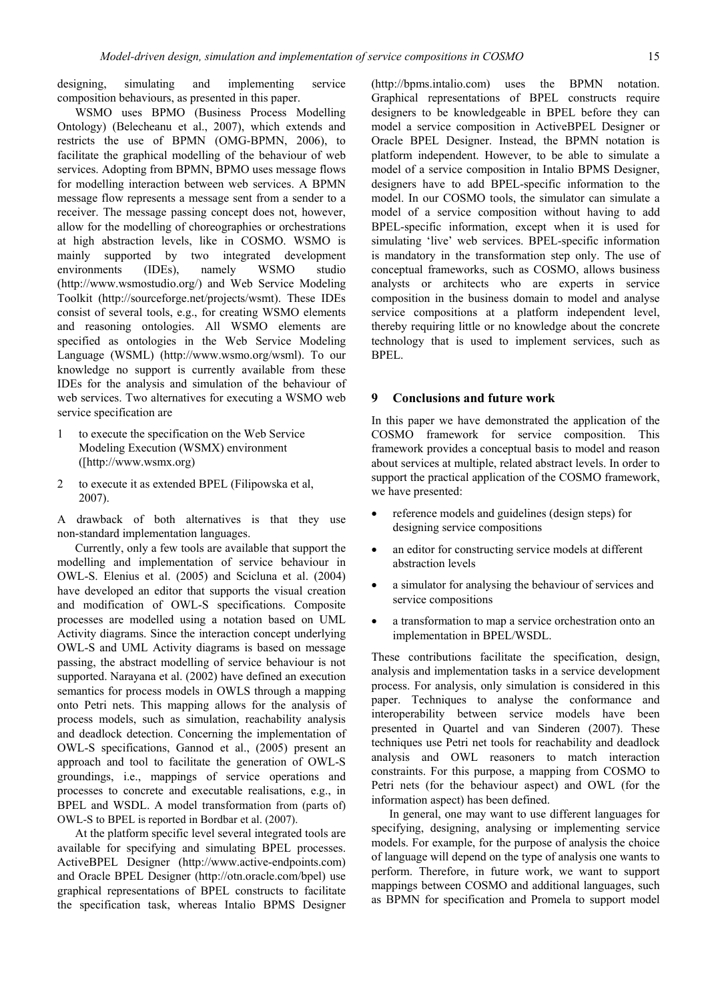designing, simulating and implementing service composition behaviours, as presented in this paper.

WSMO uses BPMO (Business Process Modelling Ontology) (Belecheanu et al., 2007), which extends and restricts the use of BPMN (OMG-BPMN, 2006), to facilitate the graphical modelling of the behaviour of web services. Adopting from BPMN, BPMO uses message flows for modelling interaction between web services. A BPMN message flow represents a message sent from a sender to a receiver. The message passing concept does not, however, allow for the modelling of choreographies or orchestrations at high abstraction levels, like in COSMO. WSMO is mainly supported by two integrated development environments (IDEs), namely WSMO studio (http://www.wsmostudio.org/) and Web Service Modeling Toolkit (http://sourceforge.net/projects/wsmt). These IDEs consist of several tools, e.g., for creating WSMO elements and reasoning ontologies. All WSMO elements are specified as ontologies in the Web Service Modeling Language (WSML) (http://www.wsmo.org/wsml). To our knowledge no support is currently available from these IDEs for the analysis and simulation of the behaviour of web services. Two alternatives for executing a WSMO web service specification are

- 1 to execute the specification on the Web Service Modeling Execution (WSMX) environment ([http://www.wsmx.org)
- 2 to execute it as extended BPEL (Filipowska et al, 2007).

A drawback of both alternatives is that they use non-standard implementation languages.

Currently, only a few tools are available that support the modelling and implementation of service behaviour in OWL-S. Elenius et al. (2005) and Scicluna et al. (2004) have developed an editor that supports the visual creation and modification of OWL-S specifications. Composite processes are modelled using a notation based on UML Activity diagrams. Since the interaction concept underlying OWL-S and UML Activity diagrams is based on message passing, the abstract modelling of service behaviour is not supported. Narayana et al. (2002) have defined an execution semantics for process models in OWLS through a mapping onto Petri nets. This mapping allows for the analysis of process models, such as simulation, reachability analysis and deadlock detection. Concerning the implementation of OWL-S specifications, Gannod et al., (2005) present an approach and tool to facilitate the generation of OWL-S groundings, i.e., mappings of service operations and processes to concrete and executable realisations, e.g., in BPEL and WSDL. A model transformation from (parts of) OWL-S to BPEL is reported in Bordbar et al. (2007).

At the platform specific level several integrated tools are available for specifying and simulating BPEL processes. ActiveBPEL Designer (http://www.active-endpoints.com) and Oracle BPEL Designer (http://otn.oracle.com/bpel) use graphical representations of BPEL constructs to facilitate the specification task, whereas Intalio BPMS Designer (http://bpms.intalio.com) uses the BPMN notation. Graphical representations of BPEL constructs require designers to be knowledgeable in BPEL before they can model a service composition in ActiveBPEL Designer or Oracle BPEL Designer. Instead, the BPMN notation is platform independent. However, to be able to simulate a model of a service composition in Intalio BPMS Designer, designers have to add BPEL-specific information to the model. In our COSMO tools, the simulator can simulate a model of a service composition without having to add BPEL-specific information, except when it is used for simulating 'live' web services. BPEL-specific information is mandatory in the transformation step only. The use of conceptual frameworks, such as COSMO, allows business analysts or architects who are experts in service composition in the business domain to model and analyse service compositions at a platform independent level, thereby requiring little or no knowledge about the concrete technology that is used to implement services, such as BPEL.

### **9 Conclusions and future work**

In this paper we have demonstrated the application of the COSMO framework for service composition. This framework provides a conceptual basis to model and reason about services at multiple, related abstract levels. In order to support the practical application of the COSMO framework, we have presented:

- reference models and guidelines (design steps) for designing service compositions
- an editor for constructing service models at different abstraction levels
- a simulator for analysing the behaviour of services and service compositions
- a transformation to map a service orchestration onto an implementation in BPEL/WSDL.

These contributions facilitate the specification, design, analysis and implementation tasks in a service development process. For analysis, only simulation is considered in this paper. Techniques to analyse the conformance and interoperability between service models have been presented in Quartel and van Sinderen (2007). These techniques use Petri net tools for reachability and deadlock analysis and OWL reasoners to match interaction constraints. For this purpose, a mapping from COSMO to Petri nets (for the behaviour aspect) and OWL (for the information aspect) has been defined.

In general, one may want to use different languages for specifying, designing, analysing or implementing service models. For example, for the purpose of analysis the choice of language will depend on the type of analysis one wants to perform. Therefore, in future work, we want to support mappings between COSMO and additional languages, such as BPMN for specification and Promela to support model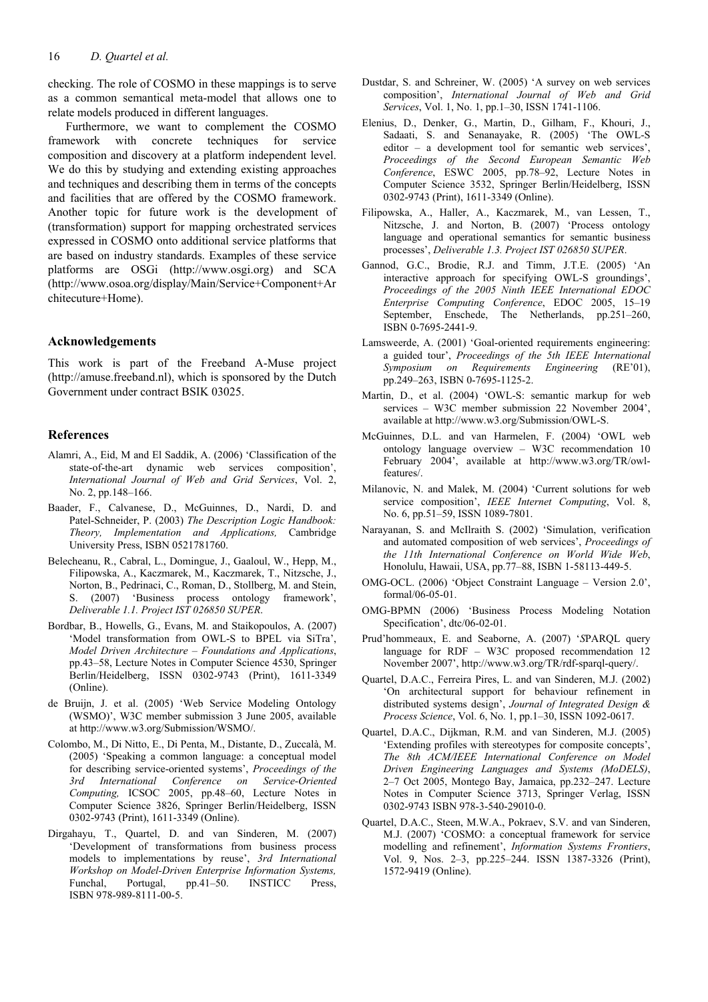#### 16 *D. Quartel et al.*

checking. The role of COSMO in these mappings is to serve as a common semantical meta-model that allows one to relate models produced in different languages.

Furthermore, we want to complement the COSMO framework with concrete techniques for service composition and discovery at a platform independent level. We do this by studying and extending existing approaches and techniques and describing them in terms of the concepts and facilities that are offered by the COSMO framework. Another topic for future work is the development of (transformation) support for mapping orchestrated services expressed in COSMO onto additional service platforms that are based on industry standards. Examples of these service platforms are OSGi (http://www.osgi.org) and SCA (http://www.osoa.org/display/Main/Service+Component+Ar chitecuture+Home).

### **Acknowledgements**

This work is part of the Freeband A-Muse project (http://amuse.freeband.nl), which is sponsored by the Dutch Government under contract BSIK 03025.

### **References**

- Alamri, A., Eid, M and El Saddik, A. (2006) 'Classification of the state-of-the-art dynamic web services composition', *International Journal of Web and Grid Services*, Vol. 2, No. 2, pp.148–166.
- Baader, F., Calvanese, D., McGuinnes, D., Nardi, D. and Patel-Schneider, P. (2003) *The Description Logic Handbook: Theory, Implementation and Applications,* Cambridge University Press, ISBN 0521781760.
- Belecheanu, R., Cabral, L., Domingue, J., Gaaloul, W., Hepp, M., Filipowska, A., Kaczmarek, M., Kaczmarek, T., Nitzsche, J., Norton, B., Pedrinaci, C., Roman, D., Stollberg, M. and Stein, S. (2007) 'Business process ontology framework', *Deliverable 1.1. Project IST 026850 SUPER*.
- Bordbar, B., Howells, G., Evans, M. and Staikopoulos, A. (2007) 'Model transformation from OWL-S to BPEL via SiTra', *Model Driven Architecture – Foundations and Applications*, pp.43–58, Lecture Notes in Computer Science 4530, Springer Berlin/Heidelberg, ISSN 0302-9743 (Print), 1611-3349 (Online).
- de Bruijn, J. et al. (2005) 'Web Service Modeling Ontology (WSMO)', W3C member submission 3 June 2005, available at http://www.w3.org/Submission/WSMO/.
- Colombo, M., Di Nitto, E., Di Penta, M., Distante, D., Zuccalà, M. (2005) 'Speaking a common language: a conceptual model for describing service-oriented systems', *Proceedings of the 3rd International Conference on Service-Oriented Computing,* ICSOC 2005, pp.48–60, Lecture Notes in Computer Science 3826, Springer Berlin/Heidelberg, ISSN 0302-9743 (Print), 1611-3349 (Online).
- Dirgahayu, T., Quartel, D. and van Sinderen, M. (2007) 'Development of transformations from business process models to implementations by reuse', *3rd International Workshop on Model-Driven Enterprise Information Systems,*  Funchal, Portugal, pp.41-50. INSTICC Press, ISBN 978-989-8111-00-5.
- Dustdar, S. and Schreiner, W. (2005) 'A survey on web services composition', *International Journal of Web and Grid Services*, Vol. 1, No. 1, pp.1–30, ISSN 1741-1106.
- Elenius, D., Denker, G., Martin, D., Gilham, F., Khouri, J., Sadaati, S. and Senanayake, R. (2005) 'The OWL-S editor – a development tool for semantic web services', *Proceedings of the Second European Semantic Web Conference*, ESWC 2005, pp.78–92, Lecture Notes in Computer Science 3532, Springer Berlin/Heidelberg, ISSN 0302-9743 (Print), 1611-3349 (Online).
- Filipowska, A., Haller, A., Kaczmarek, M., van Lessen, T., Nitzsche, J. and Norton, B. (2007) 'Process ontology language and operational semantics for semantic business processes', *Deliverable 1.3. Project IST 026850 SUPER*.
- Gannod, G.C., Brodie, R.J. and Timm, J.T.E. (2005) 'An interactive approach for specifying OWL-S groundings', *Proceedings of the 2005 Ninth IEEE International EDOC Enterprise Computing Conference*, EDOC 2005, 15–19 September, Enschede, The Netherlands, pp.251–260, ISBN 0-7695-2441-9.
- Lamsweerde, A. (2001) 'Goal-oriented requirements engineering: a guided tour', *Proceedings of the 5th IEEE International Symposium on Requirements Engineering* (RE'01), pp.249–263, ISBN 0-7695-1125-2.
- Martin, D., et al. (2004) 'OWL-S: semantic markup for web services – W3C member submission 22 November 2004', available at http://www.w3.org/Submission/OWL-S.
- McGuinnes, D.L. and van Harmelen, F. (2004) 'OWL web ontology language overview – W3C recommendation 10 February 2004', available at http://www.w3.org/TR/owlfeatures/.
- Milanovic, N. and Malek, M. (2004) 'Current solutions for web service composition', *IEEE Internet Computing*, Vol. 8, No. 6, pp.51–59, ISSN 1089-7801.
- Narayanan, S. and McIlraith S. (2002) 'Simulation, verification and automated composition of web services', *Proceedings of the 11th International Conference on World Wide Web*, Honolulu, Hawaii, USA, pp.77–88, ISBN 1-58113-449-5.
- OMG-OCL. (2006) 'Object Constraint Language Version 2.0', formal/06-05-01.
- OMG-BPMN (2006) 'Business Process Modeling Notation Specification', dtc/06-02-01.
- Prud'hommeaux, E. and Seaborne, A. (2007) '*S*PARQL query language for RDF – W3C proposed recommendation 12 November 2007', http://www.w3.org/TR/rdf-sparql-query/.
- Quartel, D.A.C., Ferreira Pires, L. and van Sinderen, M.J. (2002) 'On architectural support for behaviour refinement in distributed systems design', *Journal of Integrated Design & Process Science*, Vol. 6, No. 1, pp.1–30, ISSN 1092-0617.
- Quartel, D.A.C., Dijkman, R.M. and van Sinderen, M.J. (2005) 'Extending profiles with stereotypes for composite concepts', *The 8th ACM/IEEE International Conference on Model Driven Engineering Languages and Systems (MoDELS)*, 2–7 Oct 2005, Montego Bay, Jamaica, pp.232–247. Lecture Notes in Computer Science 3713, Springer Verlag, ISSN 0302-9743 ISBN 978-3-540-29010-0.
- Quartel, D.A.C., Steen, M.W.A., Pokraev, S.V. and van Sinderen, M.J. (2007) 'COSMO: a conceptual framework for service modelling and refinement', *Information Systems Frontiers*, Vol. 9, Nos. 2–3, pp.225–244. ISSN 1387-3326 (Print), 1572-9419 (Online).